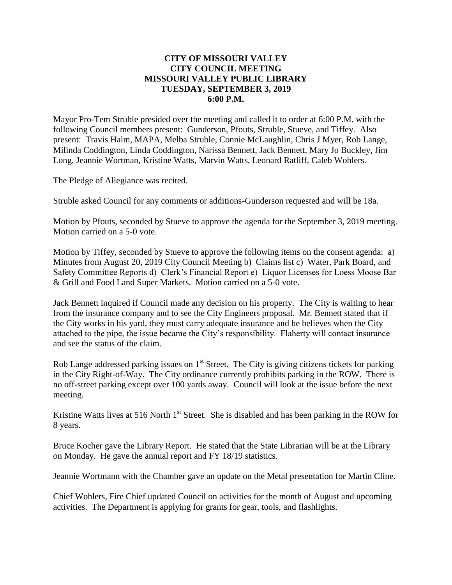## **CITY OF MISSOURI VALLEY CITY COUNCIL MEETING MISSOURI VALLEY PUBLIC LIBRARY TUESDAY, SEPTEMBER 3, 2019 6:00 P.M.**

Mayor Pro-Tem Struble presided over the meeting and called it to order at 6:00 P.M. with the following Council members present: Gunderson, Pfouts, Struble, Stueve, and Tiffey. Also present: Travis Halm, MAPA, Melba Struble, Connie McLaughlin, Chris J Myer, Rob Lange, Milinda Coddington, Linda Coddington, Narissa Bennett, Jack Bennett, Mary Jo Buckley, Jim Long, Jeannie Wortman, Kristine Watts, Marvin Watts, Leonard Ratliff, Caleb Wohlers.

The Pledge of Allegiance was recited.

Struble asked Council for any comments or additions-Gunderson requested and will be 18a.

Motion by Pfouts, seconded by Stueve to approve the agenda for the September 3, 2019 meeting. Motion carried on a 5-0 vote.

Motion by Tiffey, seconded by Stueve to approve the following items on the consent agenda: a) Minutes from August 20, 2019 City Council Meeting b) Claims list c) Water, Park Board, and Safety Committee Reports d) Clerk's Financial Report e) Liquor Licenses for Loess Moose Bar & Grill and Food Land Super Markets. Motion carried on a 5-0 vote.

Jack Bennett inquired if Council made any decision on his property. The City is waiting to hear from the insurance company and to see the City Engineers proposal. Mr. Bennett stated that if the City works in his yard, they must carry adequate insurance and he believes when the City attached to the pipe, the issue became the City's responsibility. Flaherty will contact insurance and see the status of the claim.

Rob Lange addressed parking issues on  $1<sup>st</sup>$  Street. The City is giving citizens tickets for parking in the City Right-of-Way. The City ordinance currently prohibits parking in the ROW. There is no off-street parking except over 100 yards away. Council will look at the issue before the next meeting.

Kristine Watts lives at 516 North  $1<sup>st</sup>$  Street. She is disabled and has been parking in the ROW for 8 years.

Bruce Kocher gave the Library Report. He stated that the State Librarian will be at the Library on Monday. He gave the annual report and FY 18/19 statistics.

Jeannie Wortmann with the Chamber gave an update on the Metal presentation for Martin Cline.

Chief Wohlers, Fire Chief updated Council on activities for the month of August and upcoming activities. The Department is applying for grants for gear, tools, and flashlights.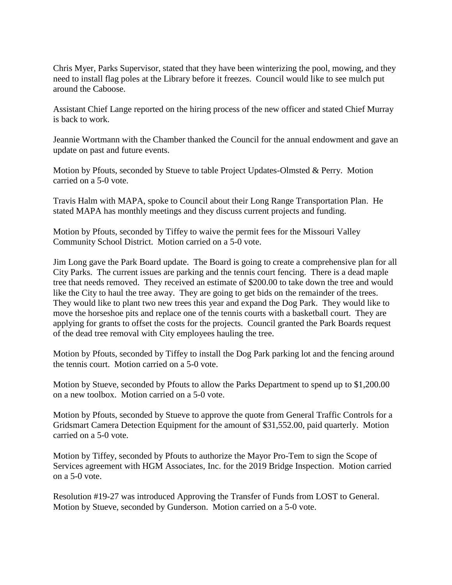Chris Myer, Parks Supervisor, stated that they have been winterizing the pool, mowing, and they need to install flag poles at the Library before it freezes. Council would like to see mulch put around the Caboose.

Assistant Chief Lange reported on the hiring process of the new officer and stated Chief Murray is back to work.

Jeannie Wortmann with the Chamber thanked the Council for the annual endowment and gave an update on past and future events.

Motion by Pfouts, seconded by Stueve to table Project Updates-Olmsted & Perry. Motion carried on a 5-0 vote.

Travis Halm with MAPA, spoke to Council about their Long Range Transportation Plan. He stated MAPA has monthly meetings and they discuss current projects and funding.

Motion by Pfouts, seconded by Tiffey to waive the permit fees for the Missouri Valley Community School District. Motion carried on a 5-0 vote.

Jim Long gave the Park Board update. The Board is going to create a comprehensive plan for all City Parks. The current issues are parking and the tennis court fencing. There is a dead maple tree that needs removed. They received an estimate of \$200.00 to take down the tree and would like the City to haul the tree away. They are going to get bids on the remainder of the trees. They would like to plant two new trees this year and expand the Dog Park. They would like to move the horseshoe pits and replace one of the tennis courts with a basketball court. They are applying for grants to offset the costs for the projects. Council granted the Park Boards request of the dead tree removal with City employees hauling the tree.

Motion by Pfouts, seconded by Tiffey to install the Dog Park parking lot and the fencing around the tennis court. Motion carried on a 5-0 vote.

Motion by Stueve, seconded by Pfouts to allow the Parks Department to spend up to \$1,200.00 on a new toolbox. Motion carried on a 5-0 vote.

Motion by Pfouts, seconded by Stueve to approve the quote from General Traffic Controls for a Gridsmart Camera Detection Equipment for the amount of \$31,552.00, paid quarterly. Motion carried on a 5-0 vote.

Motion by Tiffey, seconded by Pfouts to authorize the Mayor Pro-Tem to sign the Scope of Services agreement with HGM Associates, Inc. for the 2019 Bridge Inspection. Motion carried on a 5-0 vote.

Resolution #19-27 was introduced Approving the Transfer of Funds from LOST to General. Motion by Stueve, seconded by Gunderson. Motion carried on a 5-0 vote.